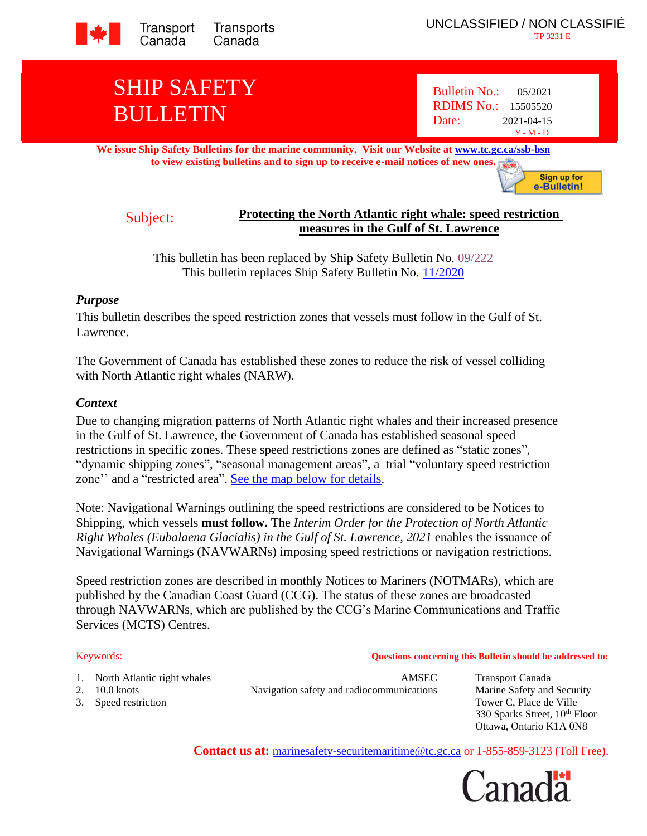

# SHIP SAFETY BULLETIN

Bulletin No.: 05/2021 RDIMS No.: 15505520 Date: 2021-04-15 Y - M - D

**We issue Ship Safety Bulletins for the marine community. Visit our Website at [www.tc.gc.ca/ssb-bsn](http://www.tc.gc.ca/ssb-bsn) to view existing bulletins and to sign up to receive e-mail notices of new one[s.](http://www.tc.gc.ca/eng/marinesafety/bulletins-menu-3949.htm)**

Sign up for e-Bulletin!

# Subject: **Protecting the North Atlantic right whale: speed restriction measures in the Gulf of St. Lawrence**

This bulletin has been replaced by Ship Safety Bulletin No. [09/222](https://tc.canada.ca/en/marine-transportation/marine-safety/ship-safety-bulletins/protecting-north-atlantic-right-whale-speed-restriction-measures-gulf-st-lawrence-ssb-no-09-2022) This bulletin replaces Ship Safety Bulletin No. [11/2020](https://tc.canada.ca/en/marine-transportation/marine-safety/ship-safety-bulletins/protecting-north-atlantic-right-whale-speed-restriction-measures-gulf-st-lawrence-ssb-no-11-2020-modified-july-30-2020)

# *Purpose*

This bulletin describes the speed restriction zones that vessels must follow in the Gulf of St. Lawrence.

The Government of Canada has established these zones to reduce the risk of vessel colliding with North Atlantic right whales (NARW).

# *Context*

Due to changing migration patterns of North Atlantic right whales and their increased presence in the Gulf of St. Lawrence, the Government of Canada has established seasonal speed restrictions in specific zones. These speed restrictions zones are defined as "static zones", "dynamic shipping zones", "seasonal management areas", a trial "voluntary speed restriction zone'' and a "restricted area". [See the map below for details.](#page-6-0)

Note: Navigational Warnings outlining the speed restrictions are considered to be Notices to Shipping, which vessels **must follow.** The *Interim Order for the Protection of North Atlantic Right Whales (Eubalaena Glacialis) in the Gulf of St. Lawrence, 2021* enables the issuance of Navigational Warnings (NAVWARNs) imposing speed restrictions or navigation restrictions.

Speed restriction zones are described in monthly Notices to Mariners (NOTMARs), which are published by the Canadian Coast Guard (CCG). The status of these zones are broadcasted through NAVWARNs, which are published by the CCG's Marine Communications and Traffic Services (MCTS) Centres.

## Keywords: **Questions concerning this Bulletin should be addressed to:**

- 
- 

1. North Atlantic right whales **AMSEC** Transport Canada 2. 10.0 knots Navigation safety and radiocommunications Marine Safety and Security

3. Speed restriction Tower C, Place de Ville 330 Sparks Street, 10<sup>th</sup> Floor Ottawa, Ontario K1A 0N8

**Contact us at:** [marinesafety-securitemaritime@tc.gc.ca](mailto:marinesafety-securitemaritime@tc.gc.ca) or 1-855-859-3123 (Toll Free).

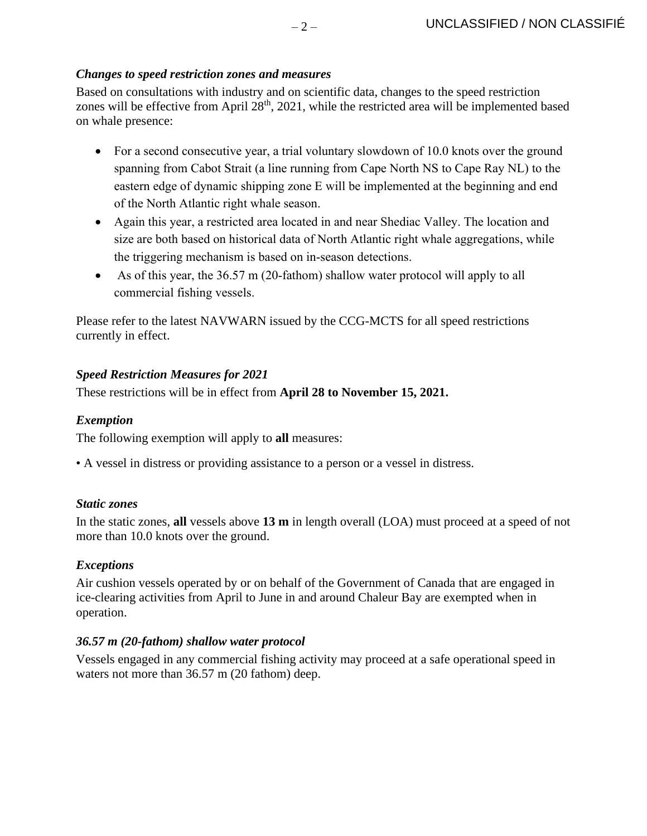# *Changes to speed restriction zones and measures*

Based on consultations with industry and on scientific data, changes to the speed restriction zones will be effective from April 28<sup>th</sup>, 2021, while the restricted area will be implemented based on whale presence:

- For a second consecutive year, a trial voluntary slowdown of 10.0 knots over the ground spanning from Cabot Strait (a line running from Cape North NS to Cape Ray NL) to the eastern edge of dynamic shipping zone E will be implemented at the beginning and end of the North Atlantic right whale season.
- Again this year, a restricted area located in and near Shediac Valley. The location and size are both based on historical data of North Atlantic right whale aggregations, while the triggering mechanism is based on in-season detections.
- As of this year, the 36.57 m (20-fathom) shallow water protocol will apply to all commercial fishing vessels.

Please refer to the latest NAVWARN issued by the CCG-MCTS for all speed restrictions currently in effect.

# *Speed Restriction Measures for 2021*

These restrictions will be in effect from **April 28 to November 15, 2021.**

# *Exemption*

The following exemption will apply to **all** measures:

• A vessel in distress or providing assistance to a person or a vessel in distress.

## *Static zones*

In the static zones, **all** vessels above **13 m** in length overall (LOA) must proceed at a speed of not more than 10.0 knots over the ground.

# *Exceptions*

Air cushion vessels operated by or on behalf of the Government of Canada that are engaged in ice-clearing activities from April to June in and around Chaleur Bay are exempted when in operation.

## *36.57 m (20-fathom) shallow water protocol*

Vessels engaged in any commercial fishing activity may proceed at a safe operational speed in waters not more than 36.57 m (20 fathom) deep.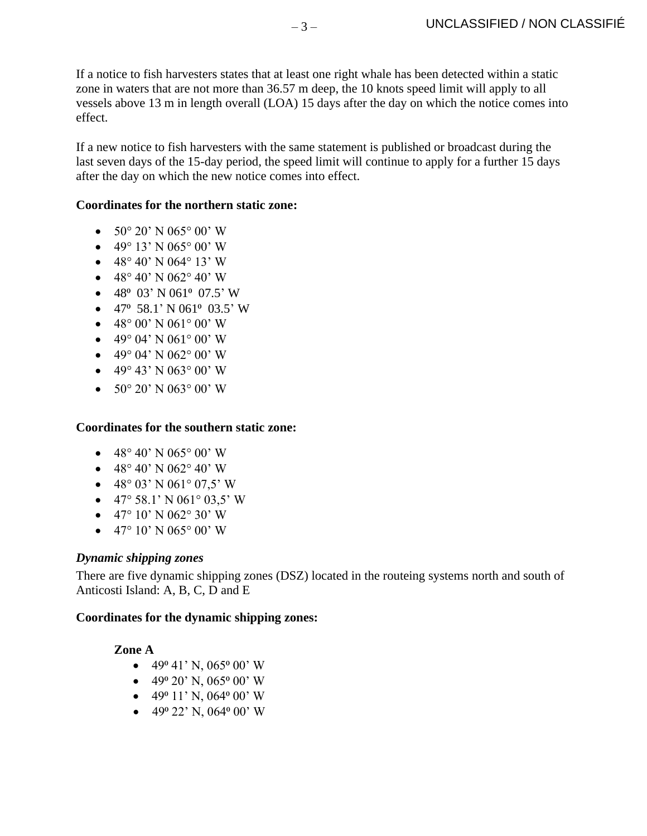If a notice to fish harvesters states that at least one right whale has been detected within a static zone in waters that are not more than 36.57 m deep, the 10 knots speed limit will apply to all vessels above 13 m in length overall (LOA) 15 days after the day on which the notice comes into effect.

If a new notice to fish harvesters with the same statement is published or broadcast during the last seven days of the 15-day period, the speed limit will continue to apply for a further 15 days after the day on which the new notice comes into effect.

# **Coordinates for the northern static zone:**

- $50^{\circ}$  20' N 065° 00' W
- 49° 13' N 065° 00' W
- 48° 40' N 064° 13' W
- 48° 40' N 062° 40' W
- 48 $\degree$  03' N 061 $\degree$  07.5' W
- 47° 58.1' N 061° 03.5' W
- 48° 00' N 061° 00' W
- 49° 04' N 061° 00' W
- 49° 04' N 062° 00' W
- 49° 43' N 063° 00' W
- $50^{\circ}$  20' N 063° 00' W

## **Coordinates for the southern static zone:**

- 48° 40' N 065° 00' W
- 48° 40' N 062° 40' W
- 48° 03' N 061° 07,5' W
- 47° 58.1' N 061° 03,5' W
- 47° 10' N 062° 30' W
- 47° 10' N 065° 00' W

## *Dynamic shipping zones*

There are five dynamic shipping zones (DSZ) located in the routeing systems north and south of Anticosti Island: A, B, C, D and E

## **Coordinates for the dynamic shipping zones:**

## **Zone A**

- 49<sup>o</sup> 41' N, 065<sup>o</sup> 00' W
- $\bullet$  49<sup>°</sup> 20' N, 065<sup>°</sup> 00' W
- 49 $\degree$  11' N, 064 $\degree$  00' W
- 49 $^{\circ}$  22' N, 064 $^{\circ}$  00' W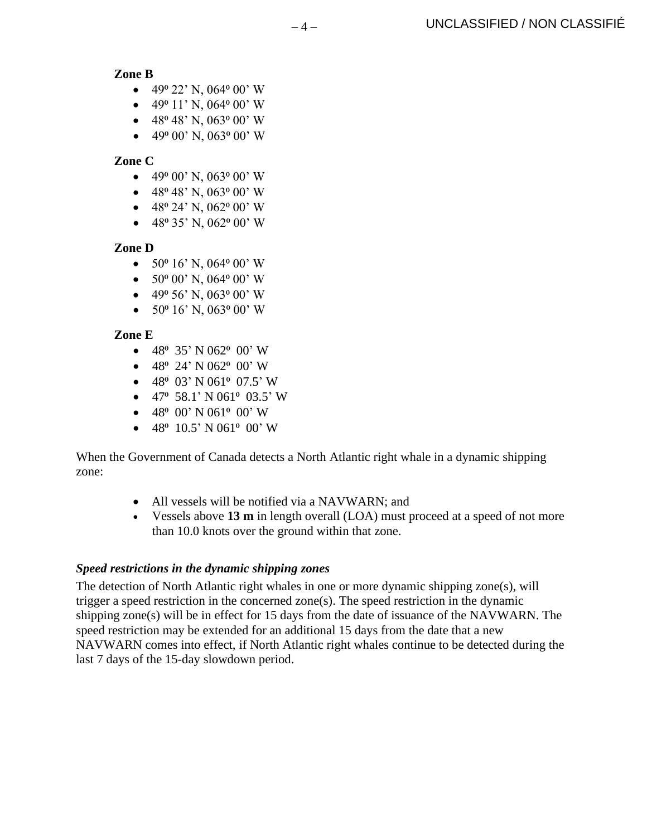**Zone B**

- 49 $^{\circ}$  22' N, 064 $^{\circ}$  00' W
- 49 $\degree$  11' N, 064 $\degree$  00' W
- 48 $\degree$  48' N, 063 $\degree$  00' W
- 49 $\degree$  00' N, 063 $\degree$  00' W

**Zone C**

- 49 $\degree$  00' N, 063 $\degree$  00' W
- 48° 48' N, 063° 00' W
- 48 $^{\circ}$  24' N, 062 $^{\circ}$  00' W
- 48 $\degree$  35' N, 062 $\degree$  00' W

# **Zone D**

- $50^{\circ}$  16' N, 064 $^{\circ}$  00' W
- $50^{\circ}$  00' N, 064 $^{\circ}$  00' W
- $\bullet$  49<sup>o</sup> 56' N, 063<sup>o</sup> 00' W
- $50^{\circ}$  16' N, 063° 00' W

# **Zone E**

- 48 $\degree$  35' N 062 $\degree$  00' W
- $48^{\circ}$  24' N 062 $^{\circ}$  00' W
- $48^{\circ}$  03' N 061° 07.5' W
- 47° 58.1' N 061° 03.5' W
- $\bullet$  48<sup>°</sup> 00' N 061<sup>°</sup> 00' W
- $48^{\circ}$  10.5' N 061 $^{\circ}$  00' W

When the Government of Canada detects a North Atlantic right whale in a dynamic shipping zone:

- All vessels will be notified via a NAVWARN; and
- Vessels above **13 m** in length overall (LOA) must proceed at a speed of not more than 10.0 knots over the ground within that zone.

# *Speed restrictions in the dynamic shipping zones*

The detection of North Atlantic right whales in one or more dynamic shipping zone(s), will trigger a speed restriction in the concerned zone(s). The speed restriction in the dynamic shipping zone(s) will be in effect for 15 days from the date of issuance of the NAVWARN. The speed restriction may be extended for an additional 15 days from the date that a new NAVWARN comes into effect, if North Atlantic right whales continue to be detected during the last 7 days of the 15-day slowdown period.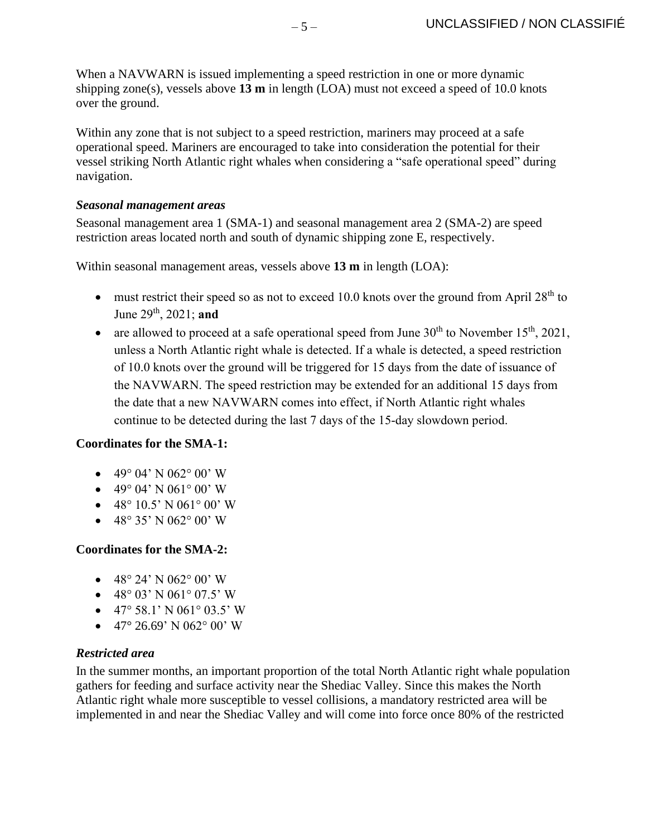When a NAVWARN is issued implementing a speed restriction in one or more dynamic shipping zone(s), vessels above **13 m** in length (LOA) must not exceed a speed of 10.0 knots over the ground.

Within any zone that is not subject to a speed restriction, mariners may proceed at a safe operational speed. Mariners are encouraged to take into consideration the potential for their vessel striking North Atlantic right whales when considering a "safe operational speed" during navigation.

# *Seasonal management areas*

Seasonal management area 1 (SMA-1) and seasonal management area 2 (SMA-2) are speed restriction areas located north and south of dynamic shipping zone E, respectively.

Within seasonal management areas, vessels above **13 m** in length (LOA):

- must restrict their speed so as not to exceed 10.0 knots over the ground from April  $28<sup>th</sup>$  to June 29th, 2021; **and**
- are allowed to proceed at a safe operational speed from June  $30<sup>th</sup>$  to November 15<sup>th</sup>, 2021, unless a North Atlantic right whale is detected. If a whale is detected, a speed restriction of 10.0 knots over the ground will be triggered for 15 days from the date of issuance of the NAVWARN. The speed restriction may be extended for an additional 15 days from the date that a new NAVWARN comes into effect, if North Atlantic right whales continue to be detected during the last 7 days of the 15-day slowdown period.

# **Coordinates for the SMA-1:**

- 49° 04' N 062° 00' W
- 49° 04' N 061° 00' W
- $48^{\circ} 10.5' N 061^{\circ} 00' W$
- 48° 35' N 062° 00' W

# **Coordinates for the SMA-2:**

- 48° 24' N 062° 00' W
- 48° 03' N 061° 07.5' W
- 47° 58.1' N 061° 03.5' W
- 47° 26.69' N 062° 00' W

# *Restricted area*

In the summer months, an important proportion of the total North Atlantic right whale population gathers for feeding and surface activity near the [Shediac Valley.](https://www.dfo-mpo.gc.ca/oceans/aoi-si/shediac-eng.html) Since this makes the North Atlantic right whale more susceptible to vessel collisions, a mandatory restricted area will be implemented in and near the [Shediac Valley](https://www.dfo-mpo.gc.ca/oceans/aoi-si/shediac-eng.html) and will come into force once 80% of the restricted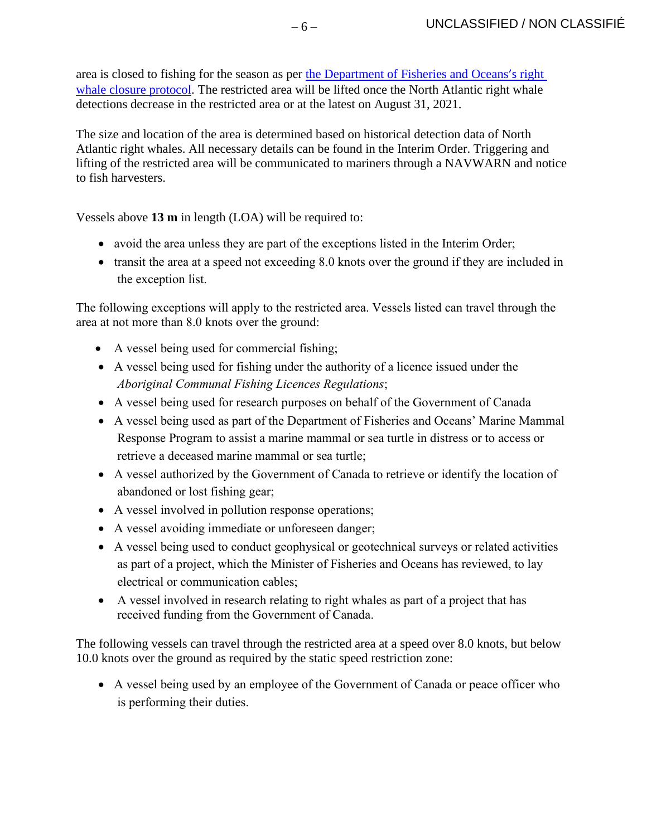area is closed to fishing for the season as per [the Department of Fisheries and Oceans](https://www.dfo-mpo.gc.ca/fisheries-peches/commercial-commerciale/atl-arc/narw-bnan/management-gestion-eng.html)'s right [whale closure protocol.](https://www.dfo-mpo.gc.ca/fisheries-peches/commercial-commerciale/atl-arc/narw-bnan/management-gestion-eng.html) The restricted area will be lifted once the North Atlantic right whale detections decrease in the restricted area or at the latest on August 31, 2021.

The size and location of the area is determined based on historical detection data of North Atlantic right whales. All necessary details can be found in the Interim Order. Triggering and lifting of the restricted area will be communicated to mariners through a NAVWARN and notice to fish harvesters.

Vessels above **13 m** in length (LOA) will be required to:

- avoid the area unless they are part of the exceptions listed in the Interim Order;
- transit the area at a speed not exceeding 8.0 knots over the ground if they are included in the exception list.

The following exceptions will apply to the restricted area. Vessels listed can travel through the area at not more than 8.0 knots over the ground:

- A vessel being used for commercial fishing;
- A vessel being used for fishing under the authority of a licence issued under the *Aboriginal Communal Fishing Licences Regulations*;
- A vessel being used for research purposes on behalf of the Government of Canada
- A vessel being used as part of the Department of Fisheries and Oceans' Marine Mammal Response Program to assist a marine mammal or sea turtle in distress or to access or retrieve a deceased marine mammal or sea turtle;
- A vessel authorized by the Government of Canada to retrieve or identify the location of abandoned or lost fishing gear;
- A vessel involved in pollution response operations;
- A vessel avoiding immediate or unforeseen danger;
- A vessel being used to conduct geophysical or geotechnical surveys or related activities as part of a project, which the Minister of Fisheries and Oceans has reviewed, to lay electrical or communication cables;
- A vessel involved in research relating to right whales as part of a project that has received funding from the Government of Canada.

The following vessels can travel through the restricted area at a speed over 8.0 knots, but below 10.0 knots over the ground as required by the static speed restriction zone:

• A vessel being used by an employee of the Government of Canada or peace officer who is performing their duties.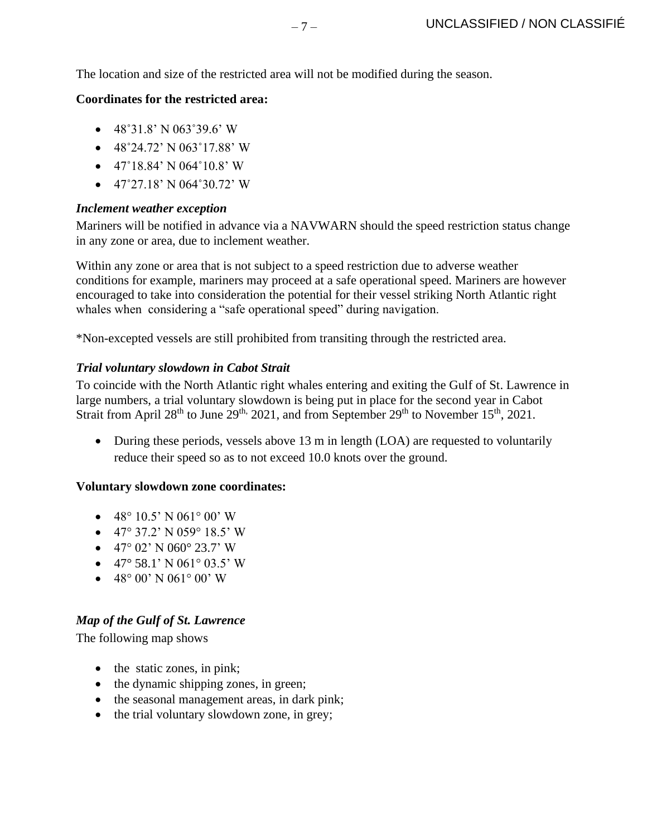The location and size of the restricted area will not be modified during the season.

#### **Coordinates for the restricted area:**

- $\bullet$  48°31.8' N 063°39.6' W
- $\bullet$  48°24.72' N 063°17.88' W
- $\bullet$  47°18.84' N 064°10.8' W
- $\bullet$  47°27.18' N 064°30.72' W

#### *Inclement weather exception*

Mariners will be notified in advance via a NAVWARN should the speed restriction status change in any zone or area, due to inclement weather.

Within any zone or area that is not subject to a speed restriction due to adverse weather conditions for example, mariners may proceed at a safe operational speed. Mariners are however encouraged to take into consideration the potential for their vessel striking North Atlantic right whales when considering a "safe operational speed" during navigation.

\*Non-excepted vessels are still prohibited from transiting through the restricted area.

## *Trial voluntary slowdown in Cabot Strait*

To coincide with the North Atlantic right whales entering and exiting the Gulf of St. Lawrence in large numbers, a trial voluntary slowdown is being put in place for the second year in Cabot Strait from April 28<sup>th</sup> to June 29<sup>th, 2021, and from September 29<sup>th</sup> to November 15<sup>th</sup>, 2021.</sup>

• During these periods, vessels above 13 m in length (LOA) are requested to voluntarily reduce their speed so as to not exceed 10.0 knots over the ground.

## **Voluntary slowdown zone coordinates:**

- 48° 10.5' N 061° 00' W
- 47° 37.2' N 059° 18.5' W
- $\bullet$  47° 02' N 060° 23.7' W
- 47° 58.1' N 061° 03.5' W
- $48^{\circ}$  00' N 061° 00' W

## <span id="page-6-0"></span>*Map of the Gulf of St. Lawrence*

The following map shows

- the static zones, in pink;
- the dynamic shipping zones, in green;
- the seasonal management areas, in dark pink;
- the trial voluntary slowdown zone, in grey;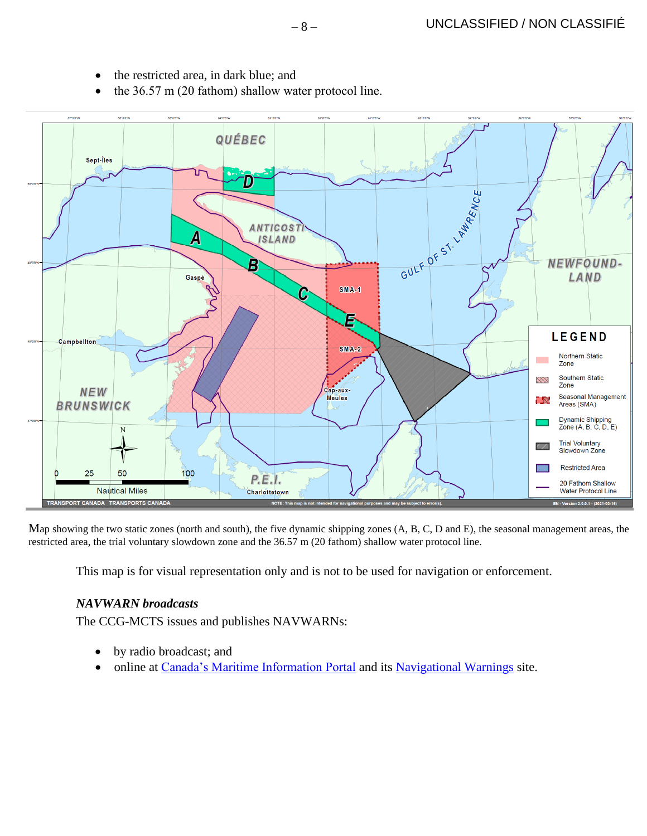- the restricted area, in dark blue; and
- the 36.57 m (20 fathom) shallow water protocol line.



Map showing the two static zones (north and south), the five dynamic shipping zones (A, B, C, D and E), the seasonal management areas, the restricted area, the trial voluntary slowdown zone and the 36.57 m (20 fathom) shallow water protocol line.

This map is for visual representation only and is not to be used for navigation or enforcement.

## *NAVWARN broadcasts*

The CCG-MCTS issues and publishes NAVWARNs:

- by radio broadcast; and
- online at [Canada's Maritime Information Portal](http://www.marinfo.gc.ca/e-nav/) and its [Navigational Warnings](http://nis.ccg-gcc.gc.ca/) site.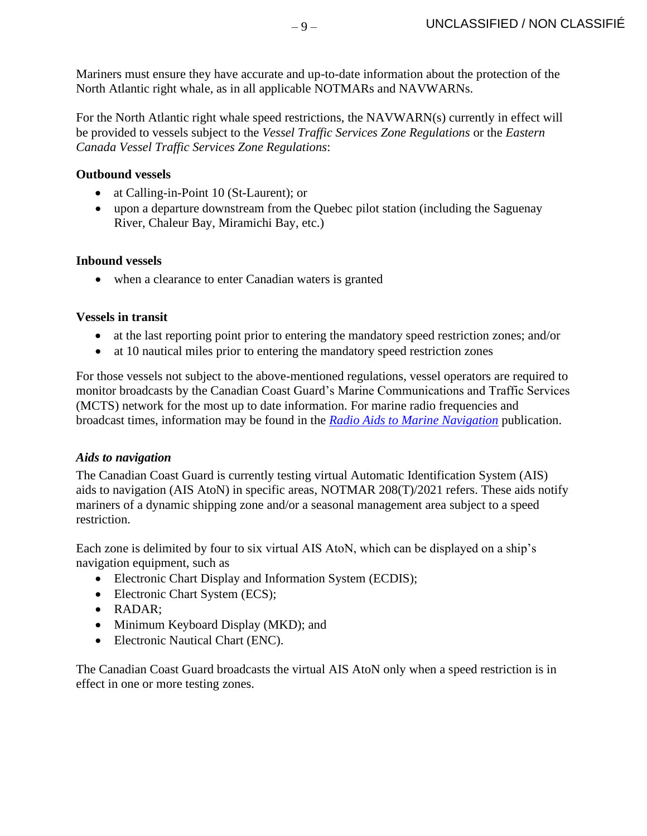Mariners must ensure they have accurate and up-to-date information about the protection of the North Atlantic right whale, as in all applicable NOTMARs and NAVWARNs.

For the North Atlantic right whale speed restrictions, the NAVWARN(s) currently in effect will be provided to vessels subject to the *Vessel Traffic Services Zone Regulations* or the *Eastern Canada Vessel Traffic Services Zone Regulations*:

# **Outbound vessels**

- at Calling-in-Point 10 (St-Laurent); or
- upon a departure downstream from the Quebec pilot station (including the Saguenay River, Chaleur Bay, Miramichi Bay, etc.)

## **Inbound vessels**

• when a clearance to enter Canadian waters is granted

#### **Vessels in transit**

- at the last reporting point prior to entering the mandatory speed restriction zones; and/or
- at 10 nautical miles prior to entering the mandatory speed restriction zones

For those vessels not subject to the above-mentioned regulations, vessel operators are required to monitor broadcasts by the Canadian Coast Guard's Marine Communications and Traffic Services (MCTS) network for the most up to date information. For marine radio frequencies and broadcast times, information may be found in the *[Radio Aids to Marine Navigation](https://www.ccg-gcc.gc.ca/publications/mcts-sctm/ramn-arnm/part1-eng.html)* publication.

## *Aids to navigation*

The Canadian Coast Guard is currently testing virtual Automatic Identification System (AIS) aids to navigation (AIS AtoN) in specific areas, NOTMAR 208(T)/2021 refers. These aids notify mariners of a dynamic shipping zone and/or a seasonal management area subject to a speed restriction.

Each zone is delimited by four to six virtual AIS AtoN, which can be displayed on a ship's navigation equipment, such as

- Electronic Chart Display and Information System (ECDIS);
- Electronic Chart System (ECS);
- RADAR;
- Minimum Keyboard Display (MKD); and
- Electronic Nautical Chart (ENC).

The Canadian Coast Guard broadcasts the virtual AIS AtoN only when a speed restriction is in effect in one or more testing zones.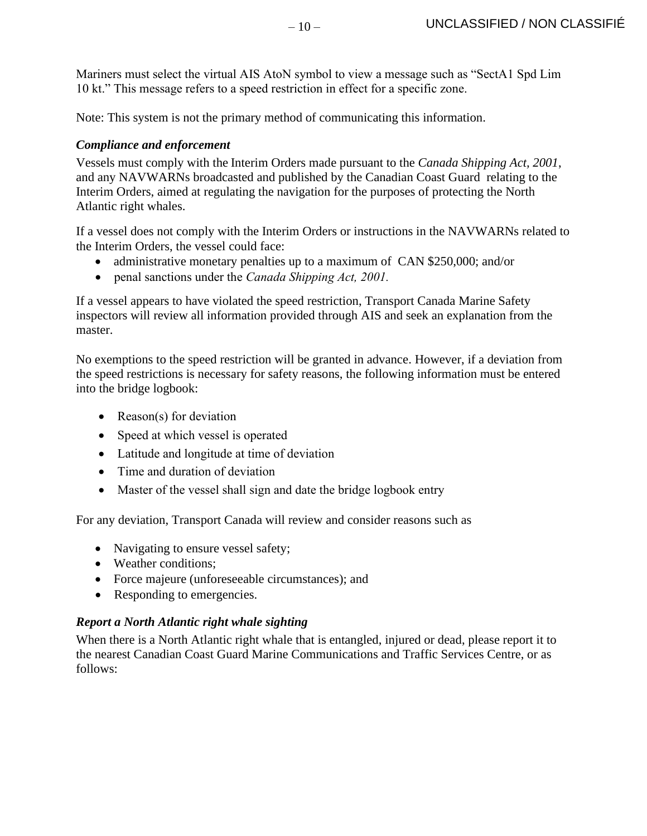Mariners must select the virtual AIS AtoN symbol to view a message such as "SectA1 Spd Lim 10 kt." This message refers to a speed restriction in effect for a specific zone.

Note: This system is not the primary method of communicating this information.

# *Compliance and enforcement*

Vessels must comply with the Interim Orders made pursuant to the *Canada Shipping Act, 2001*, and any NAVWARNs broadcasted and published by the Canadian Coast Guard relating to the Interim Orders, aimed at regulating the navigation for the purposes of protecting the North Atlantic right whales.

If a vessel does not comply with the Interim Orders or instructions in the NAVWARNs related to the Interim Orders, the vessel could face:

- administrative monetary penalties up to a maximum of CAN \$250,000; and/or
- penal sanctions under the *Canada Shipping Act, 2001.*

If a vessel appears to have violated the speed restriction, Transport Canada Marine Safety inspectors will review all information provided through AIS and seek an explanation from the master.

No exemptions to the speed restriction will be granted in advance. However, if a deviation from the speed restrictions is necessary for safety reasons, the following information must be entered into the bridge logbook:

- Reason(s) for deviation
- Speed at which vessel is operated
- Latitude and longitude at time of deviation
- Time and duration of deviation
- Master of the vessel shall sign and date the bridge logbook entry

For any deviation, Transport Canada will review and consider reasons such as

- Navigating to ensure vessel safety;
- Weather conditions;
- Force majeure (unforeseeable circumstances); and
- Responding to emergencies.

# *Report a North Atlantic right whale sighting*

When there is a North Atlantic right whale that is entangled, injured or dead, please report it to the nearest Canadian Coast Guard Marine Communications and Traffic Services Centre, or as follows: